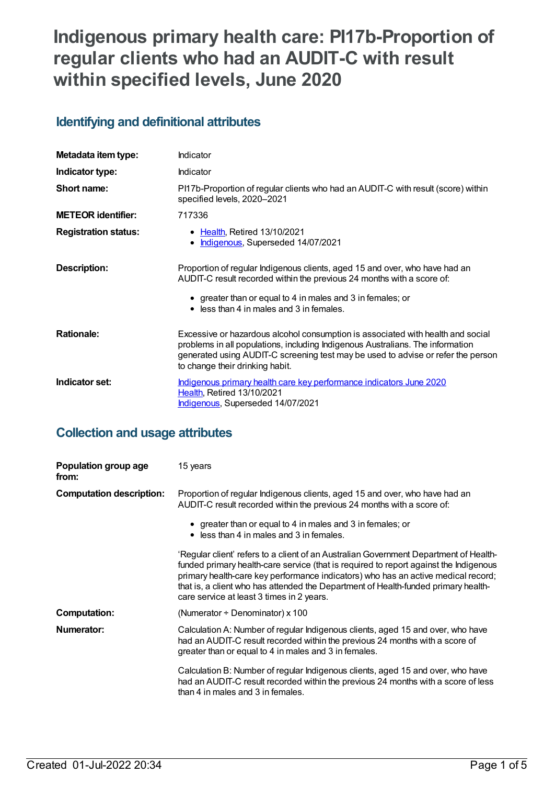# **Indigenous primary health care: PI17b-Proportion of regular clients who had an AUDIT-C with result within specified levels, June 2020**

## **Identifying and definitional attributes**

| Metadata item type:         | Indicator                                                                                                                                                                                                                                                                                |
|-----------------------------|------------------------------------------------------------------------------------------------------------------------------------------------------------------------------------------------------------------------------------------------------------------------------------------|
| Indicator type:             | Indicator                                                                                                                                                                                                                                                                                |
| Short name:                 | PI17b-Proportion of regular clients who had an AUDIT-C with result (score) within<br>specified levels, 2020-2021                                                                                                                                                                         |
| <b>METEOR identifier:</b>   | 717336                                                                                                                                                                                                                                                                                   |
| <b>Registration status:</b> | • Health, Retired 13/10/2021<br>Indigenous, Superseded 14/07/2021<br>$\bullet$                                                                                                                                                                                                           |
| Description:                | Proportion of regular Indigenous clients, aged 15 and over, who have had an<br>AUDIT-C result recorded within the previous 24 months with a score of:<br>• greater than or equal to 4 in males and 3 in females; or<br>• less than 4 in males and 3 in females.                          |
| <b>Rationale:</b>           | Excessive or hazardous alcohol consumption is associated with health and social<br>problems in all populations, including Indigenous Australians. The information<br>generated using AUDIT-C screening test may be used to advise or refer the person<br>to change their drinking habit. |
| Indicator set:              | Indigenous primary health care key performance indicators June 2020<br><b>Health, Retired 13/10/2021</b><br>Indigenous, Superseded 14/07/2021                                                                                                                                            |

## **Collection and usage attributes**

| Population group age<br>from:   | 15 years                                                                                                                                                                                                                                                                                                                                                                                               |
|---------------------------------|--------------------------------------------------------------------------------------------------------------------------------------------------------------------------------------------------------------------------------------------------------------------------------------------------------------------------------------------------------------------------------------------------------|
| <b>Computation description:</b> | Proportion of regular Indigenous clients, aged 15 and over, who have had an<br>AUDIT-C result recorded within the previous 24 months with a score of:                                                                                                                                                                                                                                                  |
|                                 | • greater than or equal to 4 in males and 3 in females; or<br>$\bullet$ less than 4 in males and 3 in females.                                                                                                                                                                                                                                                                                         |
|                                 | 'Regular client' refers to a client of an Australian Government Department of Health-<br>funded primary health-care service (that is required to report against the Indigenous<br>primary health-care key performance indicators) who has an active medical record;<br>that is, a client who has attended the Department of Health-funded primary health-<br>care service at least 3 times in 2 years. |
| <b>Computation:</b>             | (Numerator $\div$ Denominator) x 100                                                                                                                                                                                                                                                                                                                                                                   |
| Numerator:                      | Calculation A: Number of regular Indigenous clients, aged 15 and over, who have<br>had an AUDIT-C result recorded within the previous 24 months with a score of<br>greater than or equal to 4 in males and 3 in females.                                                                                                                                                                               |
|                                 | Calculation B: Number of regular Indigenous clients, aged 15 and over, who have<br>had an AUDIT-C result recorded within the previous 24 months with a score of less<br>than 4 in males and 3 in females.                                                                                                                                                                                              |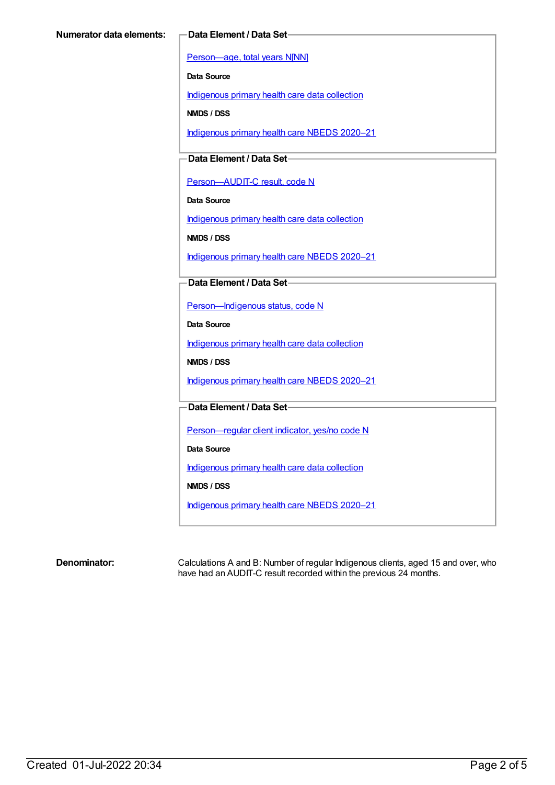[Person—age,](https://meteor.aihw.gov.au/content/303794) total years N[NN]

**Data Source**

[Indigenous](https://meteor.aihw.gov.au/content/430643) primary health care data collection

**NMDS / DSS**

[Indigenous](https://meteor.aihw.gov.au/content/715320) primary health care NBEDS 2020–21

**Data Element / Data Set**

[Person—AUDIT-C](https://meteor.aihw.gov.au/content/585194) result, code N

**Data Source**

[Indigenous](https://meteor.aihw.gov.au/content/430643) primary health care data collection

**NMDS / DSS**

[Indigenous](https://meteor.aihw.gov.au/content/715320) primary health care NBEDS 2020–21

**Data Element / Data Set**

[Person—Indigenous](https://meteor.aihw.gov.au/content/602543) status, code N

**Data Source**

[Indigenous](https://meteor.aihw.gov.au/content/430643) primary health care data collection

**NMDS / DSS**

[Indigenous](https://meteor.aihw.gov.au/content/715320) primary health care NBEDS 2020–21

**Data Element / Data Set**

Person-regular client indicator, yes/no code N

**Data Source**

[Indigenous](https://meteor.aihw.gov.au/content/430643) primary health care data collection

**NMDS / DSS**

[Indigenous](https://meteor.aihw.gov.au/content/715320) primary health care NBEDS 2020–21

**Denominator:** Calculations A and B: Number of regular Indigenous clients, aged 15 and over, who have had an AUDIT-C result recorded within the previous 24 months.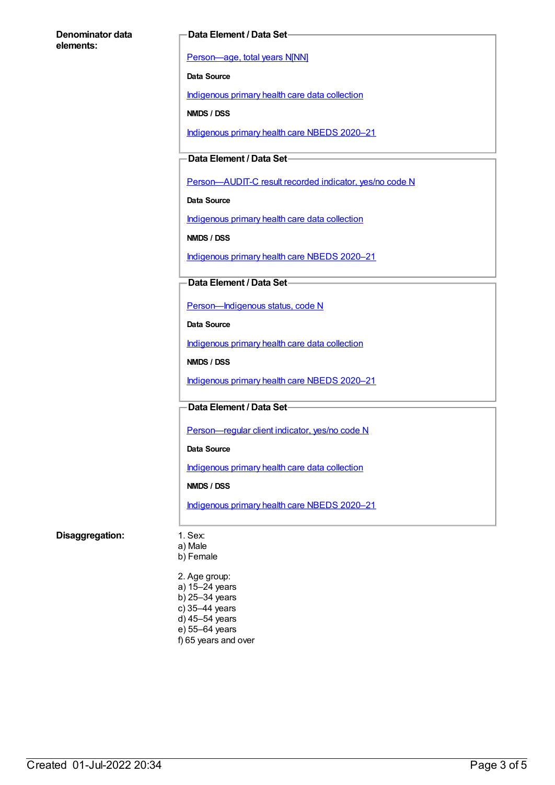#### **Denominator data elements:**

#### **Data Element / Data Set**

[Person—age,](https://meteor.aihw.gov.au/content/303794) total years N[NN]

**Data Source**

[Indigenous](https://meteor.aihw.gov.au/content/430643) primary health care data collection

**NMDS / DSS**

[Indigenous](https://meteor.aihw.gov.au/content/715320) primary health care NBEDS 2020–21

**Data Element / Data Set**

[Person—AUDIT-C](https://meteor.aihw.gov.au/content/585171) result recorded indicator, yes/no code N

**Data Source**

[Indigenous](https://meteor.aihw.gov.au/content/430643) primary health care data collection

**NMDS / DSS**

[Indigenous](https://meteor.aihw.gov.au/content/715320) primary health care NBEDS 2020–21

### **Data Element / Data Set**

[Person—Indigenous](https://meteor.aihw.gov.au/content/602543) status, code N

**Data Source**

[Indigenous](https://meteor.aihw.gov.au/content/430643) primary health care data collection

**NMDS / DSS**

[Indigenous](https://meteor.aihw.gov.au/content/715320) primary health care NBEDS 2020–21

**Data Element / Data Set**

Person-regular client indicator, yes/no code N

**Data Source**

[Indigenous](https://meteor.aihw.gov.au/content/430643) primary health care data collection

**NMDS / DSS**

[Indigenous](https://meteor.aihw.gov.au/content/715320) primary health care NBEDS 2020–21

### **Disaggregation:** 1. Sex:

- a) Male
- b) Female

2. Age group: a) 15–24 years b) 25–34 years c) 35–44 years d) 45–54 years e) 55–64 years f) 65 years and over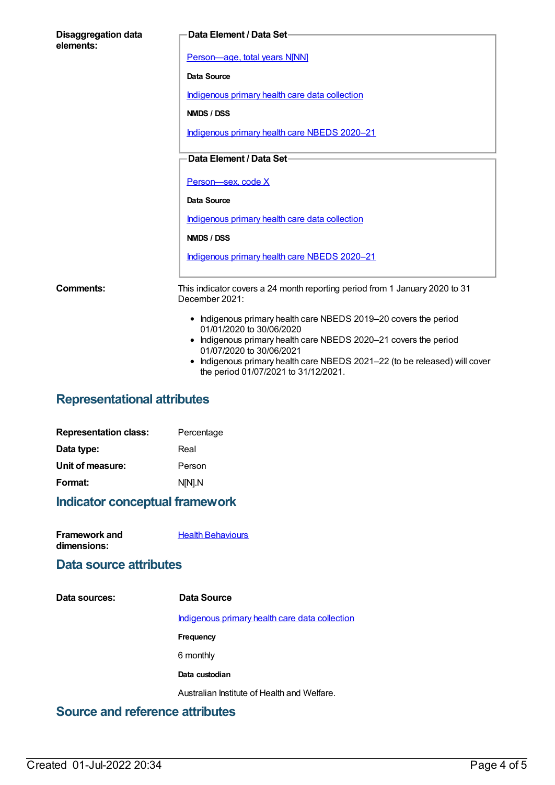| <b>Disaggregation data</b><br>elements: | Data Element / Data Set-                                                                                                                                                                                                                                                                                         |
|-----------------------------------------|------------------------------------------------------------------------------------------------------------------------------------------------------------------------------------------------------------------------------------------------------------------------------------------------------------------|
|                                         | Person-age, total years N[NN]                                                                                                                                                                                                                                                                                    |
|                                         | Data Source                                                                                                                                                                                                                                                                                                      |
|                                         | Indigenous primary health care data collection                                                                                                                                                                                                                                                                   |
|                                         | NMDS / DSS                                                                                                                                                                                                                                                                                                       |
|                                         | Indigenous primary health care NBEDS 2020-21                                                                                                                                                                                                                                                                     |
|                                         | Data Element / Data Set-                                                                                                                                                                                                                                                                                         |
|                                         | Person-sex, code X                                                                                                                                                                                                                                                                                               |
|                                         | Data Source                                                                                                                                                                                                                                                                                                      |
|                                         | Indigenous primary health care data collection                                                                                                                                                                                                                                                                   |
|                                         | NMDS / DSS                                                                                                                                                                                                                                                                                                       |
|                                         | Indigenous primary health care NBEDS 2020-21                                                                                                                                                                                                                                                                     |
| <b>Comments:</b>                        | This indicator covers a 24 month reporting period from 1 January 2020 to 31<br>December 2021:                                                                                                                                                                                                                    |
|                                         | • Indigenous primary health care NBEDS 2019-20 covers the period<br>01/01/2020 to 30/06/2020<br>• Indigenous primary health care NBEDS 2020-21 covers the period<br>01/07/2020 to 30/06/2021<br>Indigenous primary health care NBEDS 2021-22 (to be released) will cover<br>the period 01/07/2021 to 31/12/2021. |

## **Representational attributes**

| <b>Representation class:</b> | Percentage |
|------------------------------|------------|
| Data type:                   | Real       |
| Unit of measure:             | Person     |
| Format:                      | N[N].N     |
|                              |            |

## **Indicator conceptual framework**

| <b>Framework and</b> | <b>Health Behaviours</b> |
|----------------------|--------------------------|
| dimensions:          |                          |

## **Data source attributes**

| Data sources: | Data Source                                    |
|---------------|------------------------------------------------|
|               | Indigenous primary health care data collection |
|               | <b>Frequency</b>                               |
|               | 6 monthly                                      |
|               | Data custodian                                 |
|               | Australian Institute of Health and Welfare.    |
| . .<br>-      |                                                |

## **Source and reference attributes**